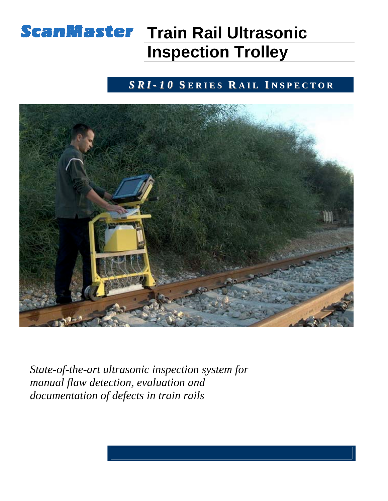# **ScanMaster Train Rail Ultrasonic Inspection Trolley**

### *S R I - 1 0* **S E R I E S R A I L I N S P E C T O R**



*State-of-the-art ultrasonic inspection system for manual flaw detection, evaluation and documentation of defects in train rails*